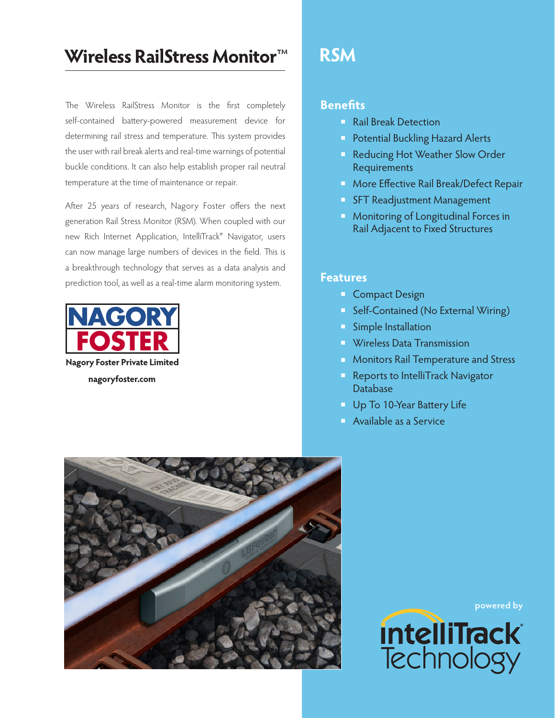# **Wireless RailStress Monitor**™

The Wireless RailStress Monitor is the first completely self-contained battery-powered measurement device for determining rail stress and temperature. This system provides the user with rail break alerts and real-time warnings of potential buckle conditions. It can also help establish proper rail neutral temperature at the time of maintenance or repair.

After 25 years of research, Nagory Foster offers the next generation Rail Stress Monitor (RSM). When coupled with our new Rich Internet Application, IntelliTrack<sup>®</sup> Navigator, users can now manage large numbers of devices in the field. This is a breakthrough technology that serves as a data analysis and prediction tool, as well as a real-time alarm monitoring system.



**nagoryfoster.com**

# **RSM**

### **Benefits**

- **Rail Break Detection**
- **Protential Buckling Hazard Alerts**
- **Reducing Hot Weather Slow Order** Requirements
- **More Effective Rail Break/Defect Repair**
- **SFT Readjustment Management**
- **Monitoring of Longitudinal Forces in** Rail Adjacent to Fixed Structures

#### **Features**

- **Compact Design**
- **Self-Contained (No External Wiring)**
- Simple Installation
- **N** Wireless Data Transmission
- **Monitors Rail Temperature and Stress**
- **Reports to IntelliTrack Navigator** Database
- **Up To 10-Year Battery Life**
- **Available as a Service**



**powered by**